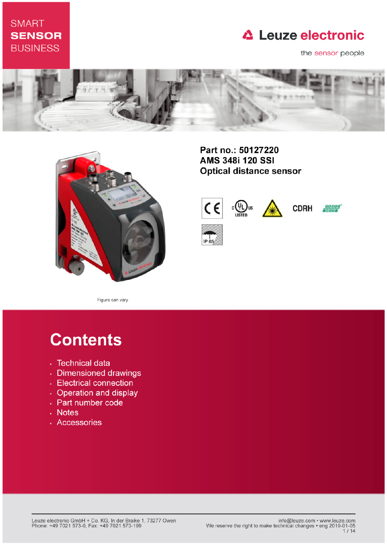## **SMART SENSOR BUSINESS**

# **△ Leuze electronic**

the sensor people





Part no.: 50127220 **AMS 348i 120 SSI Optical distance sensor** 



Figure can vary

# **Contents**

- · Technical data
- · Dimensioned drawings
- Electrical connection
- Operation and display
- Part number code
- . Notes
- · Accessories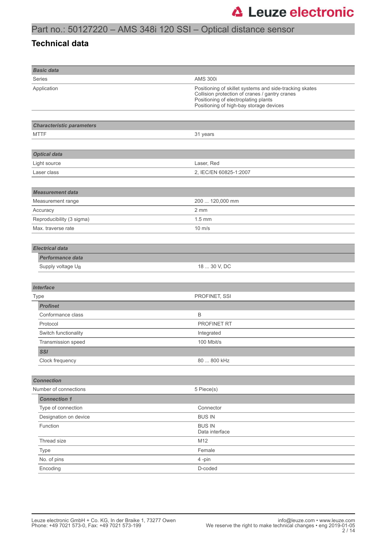### **Technical data**

| <b>Basic data</b>                |                                                                                                                                                                                              |
|----------------------------------|----------------------------------------------------------------------------------------------------------------------------------------------------------------------------------------------|
| <b>Series</b>                    | <b>AMS 300i</b>                                                                                                                                                                              |
| Application                      | Positioning of skillet systems and side-tracking skates<br>Collision protection of cranes / gantry cranes<br>Positioning of electroplating plants<br>Positioning of high-bay storage devices |
|                                  |                                                                                                                                                                                              |
| <b>Characteristic parameters</b> |                                                                                                                                                                                              |
| <b>MTTF</b>                      | 31 years                                                                                                                                                                                     |
|                                  |                                                                                                                                                                                              |
| <b>Optical data</b>              |                                                                                                                                                                                              |
| Light source                     | Laser, Red                                                                                                                                                                                   |
| Laser class                      | 2, IEC/EN 60825-1:2007                                                                                                                                                                       |
|                                  |                                                                                                                                                                                              |
| <b>Measurement data</b>          |                                                                                                                                                                                              |
| Measurement range                | 200  120,000 mm                                                                                                                                                                              |
| Accuracy                         | 2 mm                                                                                                                                                                                         |
| Reproducibility (3 sigma)        | $1.5 \text{ mm}$                                                                                                                                                                             |
| Max. traverse rate               | $10 \text{ m/s}$                                                                                                                                                                             |
|                                  |                                                                                                                                                                                              |
| <b>Electrical data</b>           |                                                                                                                                                                                              |
| <b>Performance data</b>          |                                                                                                                                                                                              |
| Supply voltage UB                | 18  30 V, DC                                                                                                                                                                                 |
|                                  |                                                                                                                                                                                              |
| <b>Interface</b>                 |                                                                                                                                                                                              |
| Type                             | PROFINET, SSI                                                                                                                                                                                |
| <b>Profinet</b>                  |                                                                                                                                                                                              |
| Conformance class                | B                                                                                                                                                                                            |
| Protocol                         | PROFINET RT                                                                                                                                                                                  |
| Switch functionality             | Integrated                                                                                                                                                                                   |
| Transmission speed               | 100 Mbit/s                                                                                                                                                                                   |
| <b>SSI</b>                       |                                                                                                                                                                                              |
| Clock frequency                  | 80  800 kHz                                                                                                                                                                                  |
|                                  |                                                                                                                                                                                              |
| <b>Connection</b>                |                                                                                                                                                                                              |
| Number of connections            | 5 Piece(s)                                                                                                                                                                                   |
| <b>Connection 1</b>              |                                                                                                                                                                                              |
| Type of connection               | Connector                                                                                                                                                                                    |
| Designation on device            | <b>BUS IN</b>                                                                                                                                                                                |
| Function                         | <b>BUS IN</b><br>Data interface                                                                                                                                                              |
| Thread size                      | M12                                                                                                                                                                                          |
| Type                             | Female                                                                                                                                                                                       |
| No. of pins                      | 4-pin                                                                                                                                                                                        |
| Encoding                         | D-coded                                                                                                                                                                                      |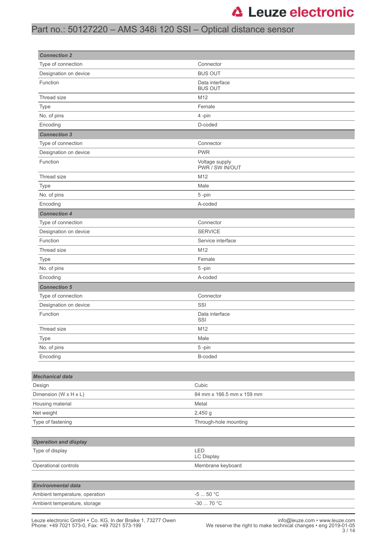## Part no.: 50127220 – AMS 348i 120 SSI – Optical distance sensor

| <b>Connection 2</b>            |                                   |  |
|--------------------------------|-----------------------------------|--|
| Type of connection             | Connector                         |  |
| Designation on device          | <b>BUS OUT</b>                    |  |
| Function                       | Data interface<br><b>BUS OUT</b>  |  |
| Thread size                    | M12                               |  |
| Type                           | Female                            |  |
| No. of pins                    | 4-pin                             |  |
| Encoding                       | D-coded                           |  |
| <b>Connection 3</b>            |                                   |  |
| Type of connection             | Connector                         |  |
| Designation on device          | <b>PWR</b>                        |  |
| Function                       | Voltage supply<br>PWR / SW IN/OUT |  |
| Thread size                    | M12                               |  |
| Type                           | Male                              |  |
| No. of pins                    | 5-pin                             |  |
| Encoding                       | A-coded                           |  |
| <b>Connection 4</b>            |                                   |  |
| Type of connection             | Connector                         |  |
| Designation on device          | <b>SERVICE</b>                    |  |
| Function                       | Service interface                 |  |
| Thread size                    | M12                               |  |
| Type                           | Female                            |  |
| No. of pins                    | 5-pin                             |  |
| Encoding                       | A-coded                           |  |
| <b>Connection 5</b>            |                                   |  |
| Type of connection             | Connector                         |  |
| Designation on device          | SSI                               |  |
| Function                       | Data interface<br>SSI             |  |
| Thread size                    | M12                               |  |
| Type                           | Male                              |  |
| No. of pins                    | 5-pin                             |  |
| Encoding                       | B-coded                           |  |
|                                |                                   |  |
| <b>Mechanical data</b>         |                                   |  |
| Design                         | Cubic                             |  |
| Dimension (W x H x L)          | 84 mm x 166.5 mm x 159 mm         |  |
| Housing material               | Metal                             |  |
| Net weight                     | 2,450 g                           |  |
| Type of fastening              | Through-hole mounting             |  |
|                                |                                   |  |
| <b>Operation and display</b>   |                                   |  |
| Type of display                | LED<br>LC Display                 |  |
| Operational controls           | Membrane keyboard                 |  |
|                                |                                   |  |
| <b>Environmental data</b>      |                                   |  |
| Ambient temperature, operation | $-550$ °C                         |  |
| Ambient temperature, storage   | -30 $\ldots$ 70 °C                |  |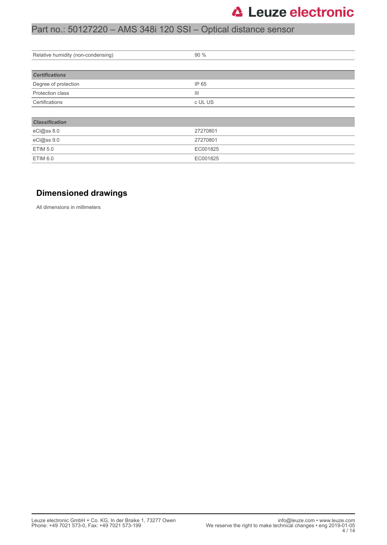## Part no.: 50127220 – AMS 348i 120 SSI – Optical distance sensor

| Relative humidity (non-condensing) | 90 %           |  |
|------------------------------------|----------------|--|
|                                    |                |  |
| <b>Certifications</b>              |                |  |
| Degree of protection               | IP 65          |  |
| Protection class                   | $\mathsf{III}$ |  |
| Certifications                     | c UL US        |  |
|                                    |                |  |
| <b>Classification</b>              |                |  |
| eCl@ss 8.0                         | 27270801       |  |
| eCl@ss 9.0                         | 27270801       |  |
| <b>ETIM 5.0</b>                    | EC001825       |  |
| ETIM 6.0                           | EC001825       |  |

### **Dimensioned drawings**

All dimensions in millimeters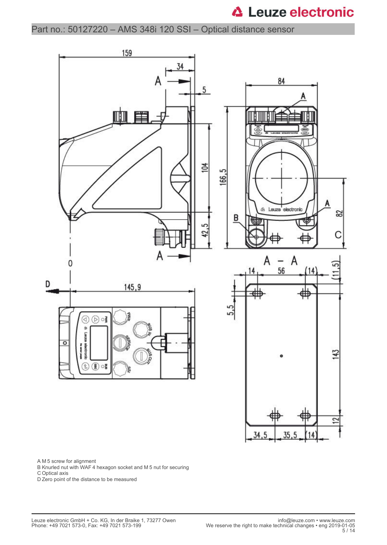Part no.: 50127220 – AMS 348i 120 SSI – Optical distance sensor



A M 5 screw for alignment

B Knurled nut with WAF 4 hexagon socket and M 5 nut for securing

C Optical axis

D Zero point of the distance to be measured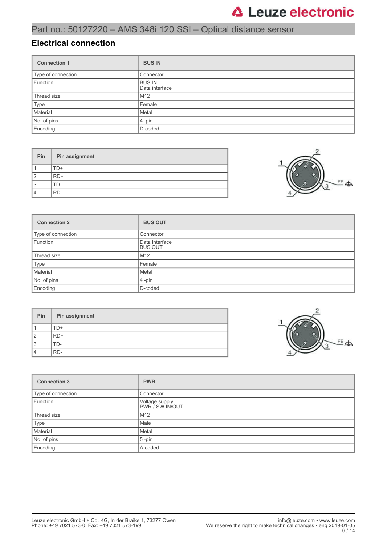## Part no.: 50127220 – AMS 348i 120 SSI – Optical distance sensor

### **Electrical connection**

| <b>Connection 1</b> | <b>BUS IN</b>                   |
|---------------------|---------------------------------|
| Type of connection  | Connector                       |
| Function            | <b>BUS IN</b><br>Data interface |
| Thread size         | M <sub>12</sub>                 |
| Type                | Female                          |
| Material            | Metal                           |
| No. of pins         | $4$ -pin                        |
| Encoding            | D-coded                         |

| Pin            | Pin assignment |
|----------------|----------------|
|                | FD+            |
| $\mathcal{P}$  | RD+            |
| 3              | l I ) –        |
| $\overline{4}$ | RD-            |



| <b>Connection 2</b> | <b>BUS OUT</b>                   |
|---------------------|----------------------------------|
| Type of connection  | Connector                        |
| Function            | Data interface<br><b>BUS OUT</b> |
| Thread size         | M12                              |
| Type                | Female                           |
| Material            | Metal                            |
| No. of pins         | $4$ -pin                         |
| Encoding            | D-coded                          |

| Pin | Pin assignment |
|-----|----------------|
|     | TD+            |
| 2   | $RD+$          |
| 3   | TD-            |
| 4   | RD-            |



| <b>Connection 3</b> | <b>PWR</b>                        |
|---------------------|-----------------------------------|
| Type of connection  | Connector                         |
| Function            | Voltage supply<br>PWR / SW IN/OUT |
| Thread size         | M <sub>12</sub>                   |
| Type                | Male                              |
| Material            | Metal                             |
| No. of pins         | $5$ -pin                          |
| Encoding            | A-coded                           |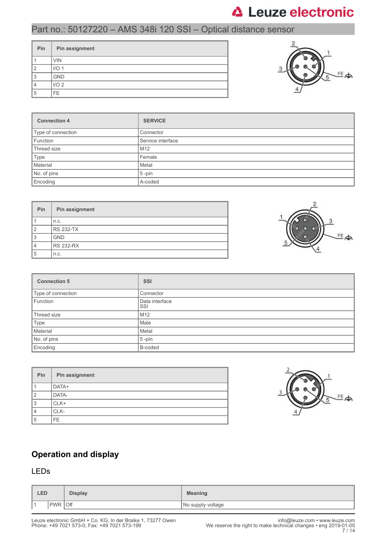## Part no.: 50127220 – AMS 348i 120 SSI – Optical distance sensor

| Pin | Pin assignment   |
|-----|------------------|
|     | <b>VIN</b>       |
| 2   | I/O <sub>1</sub> |
| 3   | <b>GND</b>       |
|     | I/O <sub>2</sub> |
| 5   | FE.              |



| <b>Connection 4</b> | <b>SERVICE</b>    |
|---------------------|-------------------|
| Type of connection  | Connector         |
| Function            | Service interface |
| Thread size         | M <sub>12</sub>   |
| Type                | Female            |
| Material            | Metal             |
| No. of pins         | $5$ -pin          |
| Encoding            | A-coded           |

| <b>Pin</b>     | Pin assignment   |
|----------------|------------------|
|                | n.c.             |
| $\overline{2}$ | <b>RS 232-TX</b> |
| 3              | <b>GND</b>       |
| 4              | <b>RS 232-RX</b> |
| 5              | n.c.             |



| <b>Connection 5</b> | <b>SSI</b>            |
|---------------------|-----------------------|
| Type of connection  | Connector             |
| Function            | Data interface<br>SSI |
| Thread size         | M12                   |
| Type                | Male                  |
| Material            | Metal                 |
| No. of pins         | $5$ -pin              |
| Encoding            | B-coded               |

| Pin | Pin assignment |
|-----|----------------|
|     | DATA+          |
| 2   | DATA-          |
| 3   | CLK+           |
| 4   | CLK-           |
| 5   | FF.            |



### **Operation and display**

### LEDs

| <b>LED</b> |                   | <b>Display</b> | <b>Meaning</b>    |
|------------|-------------------|----------------|-------------------|
| ∎ ⊣        | Off<br><b>PWR</b> |                | No supply voltage |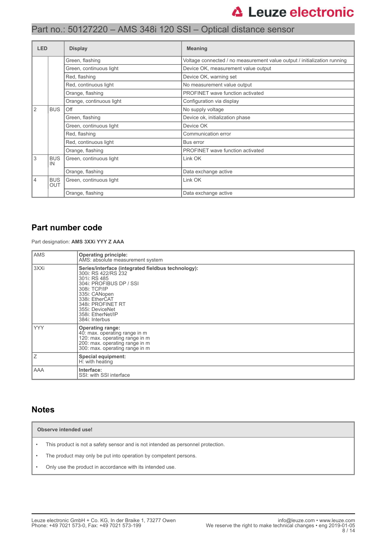| <b>LED</b> |                                                     | <b>Display</b>           | <b>Meaning</b>                                                           |
|------------|-----------------------------------------------------|--------------------------|--------------------------------------------------------------------------|
|            |                                                     | Green, flashing          | Voltage connected / no measurement value output / initialization running |
|            |                                                     | Green, continuous light  | Device OK, measurement value output                                      |
|            |                                                     | Red, flashing            | Device OK, warning set                                                   |
|            |                                                     | Red, continuous light    | No measurement value output                                              |
|            |                                                     | Orange, flashing         | PROFINET wave function activated                                         |
|            |                                                     | Orange, continuous light | Configuration via display                                                |
| 2          | <b>BUS</b>                                          | Off                      | No supply voltage                                                        |
|            |                                                     | Green, flashing          | Device ok, initialization phase                                          |
|            |                                                     | Green, continuous light  | Device OK                                                                |
|            |                                                     | Red, flashing            | Communication error                                                      |
|            |                                                     | Red, continuous light    | Bus error                                                                |
|            |                                                     | Orange, flashing         | PROFINET wave function activated                                         |
| 3          | <b>BUS</b><br>IN                                    | Green, continuous light  | Link OK                                                                  |
|            |                                                     | Orange, flashing         | Data exchange active                                                     |
| 4          | <b>BUS</b><br>Green, continuous light<br><b>OUT</b> |                          | Link OK                                                                  |
|            |                                                     | Orange, flashing         | Data exchange active                                                     |

### **Part number code**

Part designation: **AMS 3XXi YYY Z AAA**

| <b>AMS</b> | <b>Operating principle:</b><br>AMS: absolute measurement system                                                                                                                                                                                        |
|------------|--------------------------------------------------------------------------------------------------------------------------------------------------------------------------------------------------------------------------------------------------------|
| 3XXi       | Series/interface (integrated fieldbus technology):<br>300i: RS 422/RS 232<br>301i: RS 485<br>304i: PROFIBUS DP / SSI<br>308i: TCP/IP<br>335i: CANopen<br>338i: EtherCAT<br>348i: PROFINET RT<br>355i: DeviceNet<br>358i: EtherNet/IP<br>384i: Interbus |
| <b>YYY</b> | <b>Operating range:</b><br>40: max. operating range in m<br>120: max. operating range in m<br>200: max. operating range in m<br>300: max. operating range in m                                                                                         |
| Ιz         | <b>Special equipment:</b><br>H: with heating                                                                                                                                                                                                           |
| AAA        | Interface:<br>SSI: with SSI interface                                                                                                                                                                                                                  |

### **Notes**

**Observe intended use!**

- This product is not a safety sensor and is not intended as personnel protection.
- The product may only be put into operation by competent persons.
- Only use the product in accordance with its intended use.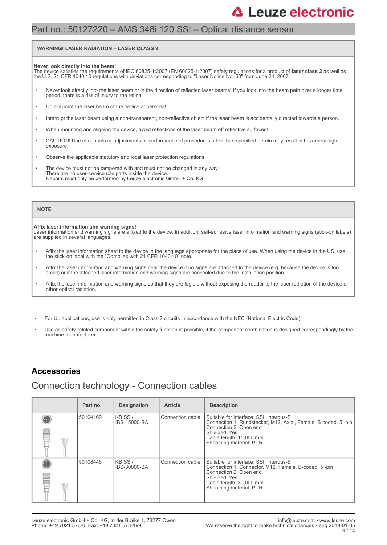### Part no.: 50127220 – AMS 348i 120 SSI – Optical distance sensor

#### **WARNING! LASER RADIATION – LASER CLASS 2**

#### **Never look directly into the beam!**

The device satisfies the requirements of IEC 60825-1:2007 (EN 60825-1:2007) safety regulations for a product of **laser class 2** as well as<br>the U.S. 21 CFR 1040.10 regulations with deviations corresponding to "Laser Notice

- Never look directly into the laser beam or in the direction of reflected laser beams! If you look into the beam path over a longer time period, there is a risk of injury to the retina.
- Do not point the laser beam of the device at persons!
- Interrupt the laser beam using a non-transparent, non-reflective object if the laser beam is accidentally directed towards a person.
- When mounting and aligning the device, avoid reflections of the laser beam off reflective surfaces!
- CAUTION! Use of controls or adjustments or performance of procedures other than specified herein may result in hazardous light exposure.
- Observe the applicable statutory and local laser protection regulations.
- The device must not be tampered with and must not be changed in any way. There are no user-serviceable parts inside the device. Repairs must only be performed by Leuze electronic GmbH + Co. KG.

#### **NOTE**

#### **Affix laser information and warning signs!**

Laser information and warning signs are affixed to the device. In addition, self-adhesive laser information and warning signs (stick-on labels) are supplied in several languages.

- Affix the laser information sheet to the device in the language appropriate for the place of use. When using the device in the US, use the stick-on label with the "Complies with 21 CFR 1040.10" note.
- Affix the laser information and warning signs near the device if no signs are attached to the device (e.g. because the device is too small) or if the attached laser information and warning signs are concealed due to the installation position.
- Affix the laser information and warning signs so that they are legible without exposing the reader to the laser radiation of the device or other optical radiation.
- For UL applications, use is only permitted in Class 2 circuits in accordance with the NEC (National Electric Code).
- Use as safety-related component within the safety function is possible, if the component combination is designed correspondingly by the machine manufacturer.

### **Accessories**

### Connection technology - Connection cables

| Part no. | <b>Designation</b>       | <b>Article</b>   | <b>Description</b>                                                                                                                                                                                        |
|----------|--------------------------|------------------|-----------------------------------------------------------------------------------------------------------------------------------------------------------------------------------------------------------|
| 50104169 | IKB SSI/<br>IBS-15000-BA | Connection cable | Suitable for interface: SSI, Interbus-S<br>Connection 1: Rundstecker, M12, Axial, Female, B-coded, 5-pin<br>Connection 2: Open end<br>Shielded: Yes<br>Cable length: 15,000 mm<br>Sheathing material: PUR |
| 50108446 | IKB SSI/<br>IBS-30000-BA | Connection cable | Suitable for interface: SSI, Interbus-S<br>Connection 1: Connector, M12, Female, B-coded, 5-pin<br>Connection 2: Open end<br>Shielded: Yes<br>Cable length: 30,000 mm<br>Sheathing material: PUR          |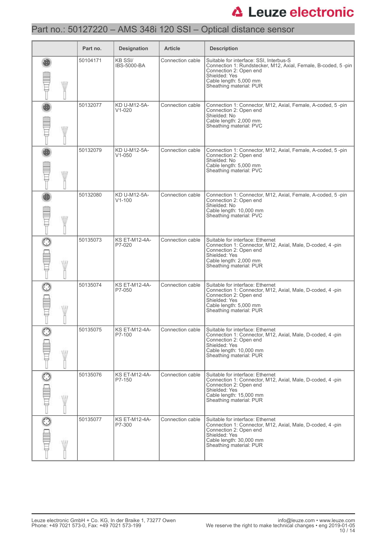## Part no.: 50127220 – AMS 348i 120 SSI – Optical distance sensor

|              | Part no. | <b>Designation</b>                   | <b>Article</b>   | <b>Description</b>                                                                                                                                                                                       |
|--------------|----------|--------------------------------------|------------------|----------------------------------------------------------------------------------------------------------------------------------------------------------------------------------------------------------|
| WII          | 50104171 | <b>KB SSI/</b><br><b>IBS-5000-BA</b> | Connection cable | Suitable for interface: SSI, Interbus-S<br>Connection 1: Rundstecker, M12, Axial, Female, B-coded, 5-pin<br>Connection 2: Open end<br>Shielded: Yes<br>Cable length: 5,000 mm<br>Sheathing material: PUR |
| W            | 50132077 | KD U-M12-5A-<br>$V1 - 020$           | Connection cable | Connection 1: Connector, M12, Axial, Female, A-coded, 5-pin<br>Connection 2: Open end<br>Shielded: No<br>Cable length: 2,000 mm<br>Sheathing material: PVC                                               |
| W            | 50132079 | KD U-M12-5A-<br>$V1 - 050$           | Connection cable | Connection 1: Connector, M12, Axial, Female, A-coded, 5-pin<br>Connection 2: Open end<br>Shielded: No<br>Cable length: 5,000 mm<br>Sheathing material: PVC                                               |
| W            | 50132080 | KD U-M12-5A-<br>$V1 - 100$           | Connection cable | Connection 1: Connector, M12, Axial, Female, A-coded, 5-pin<br>Connection 2: Open end<br>Shielded: No<br>Cable length: 10,000 mm<br>Sheathing material: PVC                                              |
| W            | 50135073 | <b>KS ET-M12-4A-</b><br>P7-020       | Connection cable | Suitable for interface: Ethernet<br>Connection 1: Connector, M12, Axial, Male, D-coded, 4 -pin<br>Connection 2: Open end<br>Shielded: Yes<br>Cable length: 2,000 mm<br>Sheathing material: PUR           |
| W            | 50135074 | <b>KS ET-M12-4A-</b><br>P7-050       | Connection cable | Suitable for interface: Ethernet<br>Connection 1: Connector, M12, Axial, Male, D-coded, 4-pin<br>Connection 2: Open end<br>Shielded: Yes<br>Cable length: 5,000 mm<br>Sheathing material: PUR            |
| W            | 50135075 | <b>KS ET-M12-4A-</b><br>P7-100       | Connection cable | Suitable for interface: Ethernet<br>Connection 1: Connector, M12, Axial, Male, D-coded, 4-pin<br>Connection 2: Open end<br>Shielded: Yes<br>Cable length: 10,000 mm<br>Sheathing material: PUR           |
| $\odot$<br>W | 50135076 | <b>KS ET-M12-4A-</b><br>P7-150       | Connection cable | Suitable for interface: Ethernet<br>Connection 1: Connector, M12, Axial, Male, D-coded, 4-pin<br>Connection 2: Open end<br>Shielded: Yes<br>Cable length: 15,000 mm<br>Sheathing material: PUR           |
| $\odot$<br>W | 50135077 | <b>KS ET-M12-4A-</b><br>P7-300       | Connection cable | Suitable for interface: Ethernet<br>Connection 1: Connector, M12, Axial, Male, D-coded, 4-pin<br>Connection 2: Open end<br>Shielded: Yes<br>Cable length: 30,000 mm<br>Sheathing material: PUR           |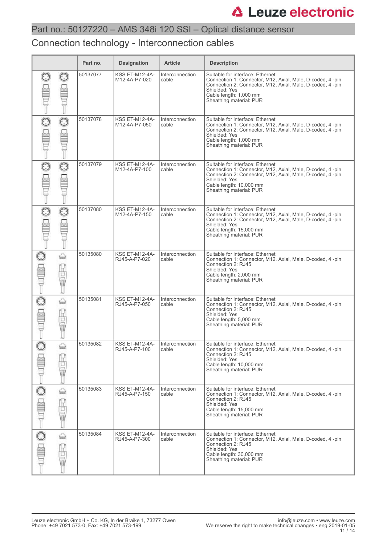### Connection technology - Interconnection cables

|         |                      | Part no. | <b>Designation</b>                     | <b>Article</b>           | <b>Description</b>                                                                                                                                                                                                                 |
|---------|----------------------|----------|----------------------------------------|--------------------------|------------------------------------------------------------------------------------------------------------------------------------------------------------------------------------------------------------------------------------|
|         |                      | 50137077 | <b>KSS ET-M12-4A-</b><br>M12-4A-P7-020 | Interconnection<br>cable | Suitable for interface: Ethernet<br>Connection 1: Connector, M12, Axial, Male, D-coded, 4 -pin<br>Connection 2: Connector, M12, Axial, Male, D-coded, 4-pin<br>Shielded: Yes<br>Cable length: 1,000 mm<br>Sheathing material: PUR  |
| $\odot$ | $_{\odot}$           | 50137078 | <b>KSS ET-M12-4A-</b><br>M12-4A-P7-050 | Interconnection<br>cable | Suitable for interface: Ethernet<br>Connection 1: Connector, M12, Axial, Male, D-coded, 4 -pin<br>Connection 2: Connector, M12, Axial, Male, D-coded, 4 -pin<br>Shielded: Yes<br>Cable length: 1,000 mm<br>Sheathing material: PUR |
|         | $\odot$              | 50137079 | <b>KSS ET-M12-4A-</b><br>M12-4A-P7-100 | Interconnection<br>cable | Suitable for interface: Ethernet<br>Connection 1: Connector, M12, Axial, Male, D-coded, 4-pin<br>Connection 2: Connector, M12, Axial, Male, D-coded, 4-pin<br>Shielded: Yes<br>Cable length: 10,000 mm<br>Sheathing material: PUR  |
| $\odot$ | $\odot$              | 50137080 | <b>KSS ET-M12-4A-</b><br>M12-4A-P7-150 | Interconnection<br>cable | Suitable for interface: Ethernet<br>Connection 1: Connector, M12, Axial, Male, D-coded, 4 -pin<br>Connection 2: Connector, M12, Axial, Male, D-coded, 4-pin<br>Shielded: Yes<br>Cable length: 15,000 mm<br>Sheathing material: PUR |
|         | ⇔<br><b>Hourie</b>   | 50135080 | <b>KSS ET-M12-4A-</b><br>RJ45-A-P7-020 | Interconnection<br>cable | Suitable for interface: Ethernet<br>Connection 1: Connector, M12, Axial, Male, D-coded, 4-pin<br>Connection 2: RJ45<br>Shielded: Yes<br>Cable length: 2,000 mm<br>Sheathing material: PUR                                          |
|         | ⇔<br>g<br>黽          | 50135081 | <b>KSS ET-M12-4A-</b><br>RJ45-A-P7-050 | Interconnection<br>cable | Suitable for interface: Ethernet<br>Connection 1: Connector, M12, Axial, Male, D-coded, 4 -pin<br>Connection 2: RJ45<br>Shielded: Yes<br>Cable length: 5,000 mm<br>Sheathing material: PUR                                         |
|         | bast<br><b>Allow</b> | 50135082 | KSS ET-M12-4A-<br>RJ45-A-P7-100        | Interconnection<br>cable | Suitable for interface: Ethernet<br>Connection 1: Connector, M12, Axial, Male, D-coded, 4-pin<br>Connection 2: RJ45<br>Shielded: Yes<br>Cable length: 10,000 mm<br>Sheathing material: PUR                                         |
| $\odot$ | ⇔<br>Ë               | 50135083 | KSS ET-M12-4A-<br>RJ45-A-P7-150        | Interconnection<br>cable | Suitable for interface: Ethernet<br>Connection 1: Connector, M12, Axial, Male, D-coded, 4-pin<br>Connection 2: RJ45<br>Shielded: Yes<br>Cable length: 15,000 mm<br>Sheathing material: PUR                                         |
|         | ⇔<br>Ë<br>Ū          | 50135084 | KSS ET-M12-4A-<br>RJ45-A-P7-300        | Interconnection<br>cable | Suitable for interface: Ethernet<br>Connection 1: Connector, M12, Axial, Male, D-coded, 4-pin<br>Connection 2: RJ45<br>Shielded: Yes<br>Cable length: 30,000 mm<br>Sheathing material: PUR                                         |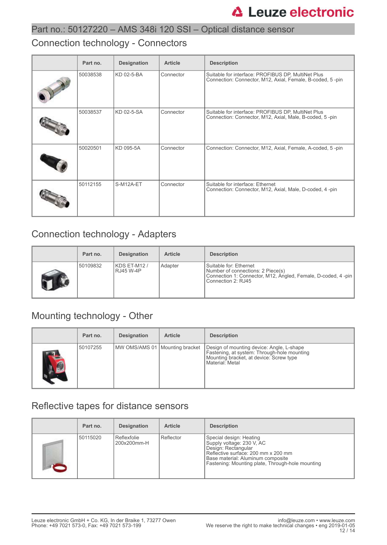### Connection technology - Connectors

| Part no. | <b>Designation</b> | <b>Article</b> | <b>Description</b>                                                                                              |
|----------|--------------------|----------------|-----------------------------------------------------------------------------------------------------------------|
| 50038538 | KD 02-5-BA         | Connector      | Suitable for interface: PROFIBUS DP, MultiNet Plus<br>Connection: Connector, M12, Axial, Female, B-coded, 5-pin |
| 50038537 | KD 02-5-SA         | Connector      | Suitable for interface: PROFIBUS DP, MultiNet Plus<br>Connection: Connector, M12, Axial, Male, B-coded, 5-pin   |
| 50020501 | KD 095-5A          | Connector      | Connection: Connector, M12, Axial, Female, A-coded, 5-pin                                                       |
| 50112155 | S-M12A-ET          | Connector      | Suitable for interface: Ethernet<br>Connection: Connector, M12, Axial, Male, D-coded, 4-pin                     |

## Connection technology - Adapters

| Part no. | <b>Designation</b>              | <b>Article</b> | <b>Description</b>                                                                                                                                 |
|----------|---------------------------------|----------------|----------------------------------------------------------------------------------------------------------------------------------------------------|
| 50109832 | KDS ET-M12/<br><b>RJ45 W-4P</b> | Adapter        | Suitable for: Ethernet<br>Number of connections: 2 Piece(s)<br>Connection 1: Connector, M12, Angled, Female, D-coded, 4 -pin<br>Connection 2: RJ45 |

## Mounting technology - Other

|            | Part no. | <b>Designation</b>               | <b>Article</b> | <b>Description</b>                                                                                                                                     |
|------------|----------|----------------------------------|----------------|--------------------------------------------------------------------------------------------------------------------------------------------------------|
| <b>ALC</b> | 50107255 | MW OMS/AMS 01   Mounting bracket |                | Design of mounting device: Angle, L-shape<br>Fastening, at system: Through-hole mounting<br>Mounting bracket, at device: Screw type<br>Material: Metal |

## Reflective tapes for distance sensors

| Part no. | <b>Designation</b>         | <b>Article</b> | <b>Description</b>                                                                                                                                                                                          |
|----------|----------------------------|----------------|-------------------------------------------------------------------------------------------------------------------------------------------------------------------------------------------------------------|
| 50115020 | Reflexfolie<br>200x200mm-H | Reflector      | Special design: Heating<br>Supply voltage: 230 V, AC<br>Design: Rectangular<br>Reflective surface: 200 mm x 200 mm<br>Base material: Aluminum composite<br>Fastening: Mounting plate, Through-hole mounting |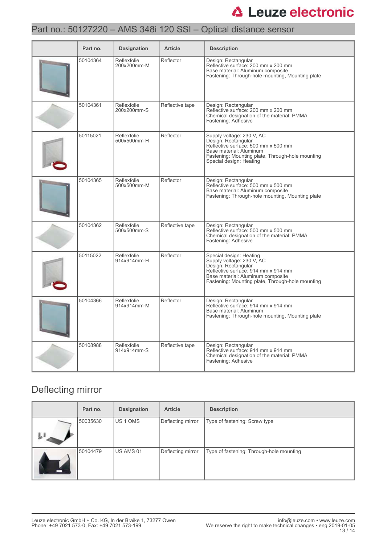## Part no.: 50127220 – AMS 348i 120 SSI – Optical distance sensor

| Part no. | <b>Designation</b>         | <b>Article</b>  | <b>Description</b>                                                                                                                                                                                          |
|----------|----------------------------|-----------------|-------------------------------------------------------------------------------------------------------------------------------------------------------------------------------------------------------------|
| 50104364 | Reflexfolie<br>200x200mm-M | Reflector       | Design: Rectangular<br>Reflective surface: 200 mm x 200 mm<br>Base material: Aluminum composite<br>Fastening: Through-hole mounting, Mounting plate                                                         |
| 50104361 | Reflexfolie<br>200x200mm-S | Reflective tape | Design: Rectangular<br>Reflective surface: 200 mm x 200 mm<br>Chemical designation of the material: PMMA<br>Fastening: Adhesive                                                                             |
| 50115021 | Reflexfolie<br>500x500mm-H | Reflector       | Supply voltage: 230 V, AC<br>Design: Rectangular<br>Reflective surface: 500 mm x 500 mm<br>Base material: Aluminum<br>Fastening: Mounting plate, Through-hole mounting<br>Special design: Heating           |
| 50104365 | Reflexfolie<br>500x500mm-M | Reflector       | Design: Rectangular<br>Reflective surface: 500 mm x 500 mm<br>Base material: Aluminum composite<br>Fastening: Through-hole mounting, Mounting plate                                                         |
| 50104362 | Reflexfolie<br>500x500mm-S | Reflective tape | Design: Rectangular<br>Reflective surface: 500 mm x 500 mm<br>Chemical designation of the material: PMMA<br>Fastening: Adhesive                                                                             |
| 50115022 | Reflexfolie<br>914x914mm-H | Reflector       | Special design: Heating<br>Supply voltage: 230 V, AC<br>Design: Rectangular<br>Reflective surface: 914 mm x 914 mm<br>Base material: Aluminum composite<br>Fastening: Mounting plate, Through-hole mounting |
| 50104366 | Reflexfolie<br>914x914mm-M | Reflector       | Design: Rectangular<br>Reflective surface: 914 mm x 914 mm<br>Base material: Aluminum<br>Fastening: Through-hole mounting, Mounting plate                                                                   |
| 50108988 | Reflexfolie<br>914x914mm-S | Reflective tape | Design: Rectangular<br>Reflective surface: 914 mm x 914 mm<br>Chemical designation of the material: PMMA<br>Fastening: Adhesive                                                                             |

## Deflecting mirror

| Part no. | <b>Designation</b> | <b>Article</b>    | <b>Description</b>                       |
|----------|--------------------|-------------------|------------------------------------------|
| 50035630 | <b>IUS 1 OMS</b>   | Deflecting mirror | Type of fastening: Screw type            |
| 50104479 | US AMS 01          | Deflecting mirror | Type of fastening: Through-hole mounting |